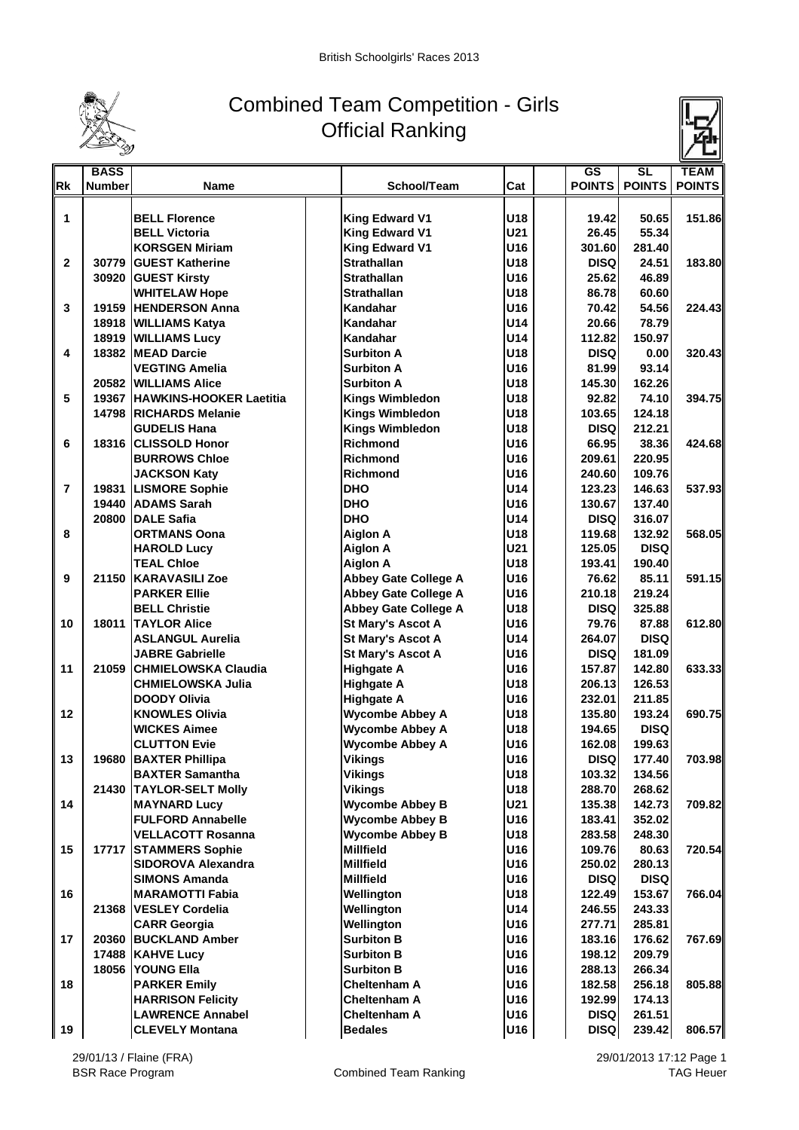

## Combined Team Competition - Girls Official Ranking



|                | <b>BASS</b>   |                               |                             |     | $\overline{\text{GS}}$ | SL            | <b>TEAM</b>   |
|----------------|---------------|-------------------------------|-----------------------------|-----|------------------------|---------------|---------------|
| <b>Rk</b>      | <b>Number</b> | Name                          | School/Team                 | Cat | <b>POINTS</b>          | <b>POINTS</b> | <b>POINTS</b> |
|                |               |                               |                             |     |                        |               |               |
| 1              |               | <b>BELL Florence</b>          | <b>King Edward V1</b>       | U18 | 19.42                  | 50.65         | 151.86        |
|                |               | <b>BELL Victoria</b>          | <b>King Edward V1</b>       | U21 | 26.45                  | 55.34         |               |
|                |               | <b>KORSGEN Miriam</b>         | <b>King Edward V1</b>       | U16 | 301.60                 | 281.40        |               |
| $\mathbf{2}$   |               | 30779 GUEST Katherine         | <b>Strathallan</b>          | U18 | <b>DISQ</b>            | 24.51         | 183.80        |
|                |               | 30920 GUEST Kirsty            | <b>Strathallan</b>          | U16 | 25.62                  | 46.89         |               |
|                |               | <b>WHITELAW Hope</b>          | <b>Strathallan</b>          | U18 | 86.78                  | 60.60         |               |
| 3              |               | 19159 HENDERSON Anna          | Kandahar                    | U16 | 70.42                  | 54.56         | 224.43        |
|                |               | 18918 WILLIAMS Katya          | Kandahar                    | U14 | 20.66                  | 78.79         |               |
|                |               | 18919 WILLIAMS Lucy           | Kandahar                    | U14 | 112.82                 | 150.97        |               |
| 4              |               | 18382 MEAD Darcie             | <b>Surbiton A</b>           | U18 | <b>DISQ</b>            | 0.00          | 320.43        |
|                |               | <b>VEGTING Amelia</b>         | <b>Surbiton A</b>           | U16 | 81.99                  | 93.14         |               |
|                |               | 20582 WILLIAMS Alice          | <b>Surbiton A</b>           | U18 | 145.30                 | 162.26        |               |
| 5              |               | 19367 HAWKINS-HOOKER Laetitia | <b>Kings Wimbledon</b>      | U18 | 92.82                  | 74.10         | 394.75        |
|                |               | 14798 RICHARDS Melanie        | <b>Kings Wimbledon</b>      | U18 | 103.65                 | 124.18        |               |
|                |               | <b>GUDELIS Hana</b>           | <b>Kings Wimbledon</b>      | U18 | <b>DISQ</b>            | 212.21        |               |
| 6              |               | 18316 CLISSOLD Honor          | <b>Richmond</b>             | U16 | 66.95                  | 38.36         | 424.68        |
|                |               | <b>BURROWS Chloe</b>          | <b>Richmond</b>             | U16 | 209.61                 | 220.95        |               |
|                |               | <b>JACKSON Katy</b>           | <b>Richmond</b>             | U16 | 240.60                 | 109.76        |               |
| $\overline{7}$ |               | 19831  LISMORE Sophie         | <b>DHO</b>                  | U14 | 123.23                 | 146.63        | 537.93        |
|                |               | 19440 ADAMS Sarah             | <b>DHO</b>                  | U16 | 130.67                 | 137.40        |               |
|                |               | 20800 DALE Safia              | <b>DHO</b>                  | U14 | <b>DISQ</b>            | 316.07        |               |
| 8              |               | <b>ORTMANS Oona</b>           | <b>Aiglon A</b>             | U18 | 119.68                 | 132.92        | 568.05        |
|                |               | <b>HAROLD Lucy</b>            | <b>Aiglon A</b>             | U21 | 125.05                 | <b>DISQ</b>   |               |
|                |               | <b>TEAL Chloe</b>             | <b>Aiglon A</b>             | U18 | 193.41                 | 190.40        |               |
| 9              |               | 21150 KARAVASILI Zoe          | <b>Abbey Gate College A</b> | U16 | 76.62                  | 85.11         | 591.15        |
|                |               | <b>PARKER Ellie</b>           | <b>Abbey Gate College A</b> | U16 | 210.18                 | 219.24        |               |
|                |               | <b>BELL Christie</b>          | <b>Abbey Gate College A</b> | U18 | <b>DISQ</b>            | 325.88        |               |
| 10             |               | <b>18011 ITAYLOR Alice</b>    | <b>St Mary's Ascot A</b>    | U16 | 79.76                  | 87.88         | 612.80        |
|                |               | <b>ASLANGUL Aurelia</b>       | <b>St Mary's Ascot A</b>    | U14 | 264.07                 | <b>DISQ</b>   |               |
|                |               | <b>JABRE Gabrielle</b>        | <b>St Mary's Ascot A</b>    | U16 | <b>DISQ</b>            | 181.09        |               |
| 11             |               | 21059 CHMIELOWSKA Claudia     | <b>Highgate A</b>           | U16 | 157.87                 | 142.80        | 633.33        |
|                |               | <b>CHMIELOWSKA Julia</b>      | <b>Highgate A</b>           | U18 | 206.13                 | 126.53        |               |
|                |               | <b>DOODY Olivia</b>           | <b>Highgate A</b>           | U16 | 232.01                 | 211.85        |               |
| 12             |               | <b>KNOWLES Olivia</b>         | <b>Wycombe Abbey A</b>      | U18 | 135.80                 | 193.24        | 690.75        |
|                |               | <b>WICKES Aimee</b>           | <b>Wycombe Abbey A</b>      | U18 | 194.65                 | <b>DISQ</b>   |               |
|                |               | <b>CLUTTON Evie</b>           | <b>Wycombe Abbey A</b>      | U16 | 162.08                 | 199.63        |               |
| 13             |               | 19680 BAXTER Phillipa         | <b>Vikings</b>              | U16 | <b>DISQ</b>            | 177.40        | 703.98        |
|                |               | <b>BAXTER Samantha</b>        | <b>Vikings</b>              | U18 | 103.32                 | 134.56        |               |
|                |               | 21430 TAYLOR-SELT Molly       | <b>Vikings</b>              | U18 | 288.70                 | 268.62        |               |
| 14             |               | <b>MAYNARD Lucy</b>           | <b>Wycombe Abbey B</b>      | U21 | 135.38                 | 142.73        | 709.82        |
|                |               | <b>FULFORD Annabelle</b>      | <b>Wycombe Abbey B</b>      | U16 | 183.41                 | 352.02        |               |
|                |               | <b>VELLACOTT Rosanna</b>      | <b>Wycombe Abbey B</b>      | U18 | 283.58                 | 248.30        |               |
| 15             |               | 17717 STAMMERS Sophie         | <b>Millfield</b>            | U16 | 109.76                 | 80.63         | 720.54        |
|                |               | <b>SIDOROVA Alexandra</b>     | <b>Millfield</b>            | U16 | 250.02                 | 280.13        |               |
|                |               | <b>SIMONS Amanda</b>          | <b>Millfield</b>            | U16 | <b>DISQ</b>            | <b>DISQ</b>   |               |
| 16             |               | <b>MARAMOTTI Fabia</b>        | Wellington                  | U18 | 122.49                 | 153.67        | 766.04        |
|                |               | 21368 VESLEY Cordelia         | Wellington                  | U14 | 246.55                 | 243.33        |               |
|                |               | <b>CARR Georgia</b>           | Wellington                  | U16 | 277.71                 | 285.81        |               |
| 17             |               | 20360 BUCKLAND Amber          | <b>Surbiton B</b>           | U16 | 183.16                 | 176.62        | 767.69        |
|                |               | 17488 KAHVE Lucy              | <b>Surbiton B</b>           | U16 | 198.12                 | 209.79        |               |
|                |               | 18056 YOUNG Ella              | <b>Surbiton B</b>           | U16 | 288.13                 | 266.34        |               |
| 18             |               | <b>PARKER Emily</b>           | <b>Cheltenham A</b>         | U16 | 182.58                 | 256.18        | 805.88        |
|                |               | <b>HARRISON Felicity</b>      | <b>Cheltenham A</b>         | U16 | 192.99                 | 174.13        |               |
|                |               | <b>LAWRENCE Annabel</b>       | <b>Cheltenham A</b>         | U16 | <b>DISQ</b>            | 261.51        |               |
| 19             |               | <b>CLEVELY Montana</b>        | <b>Bedales</b>              | U16 | <b>DISQ</b>            | 239.42        | 806.57        |
|                |               |                               |                             |     |                        |               |               |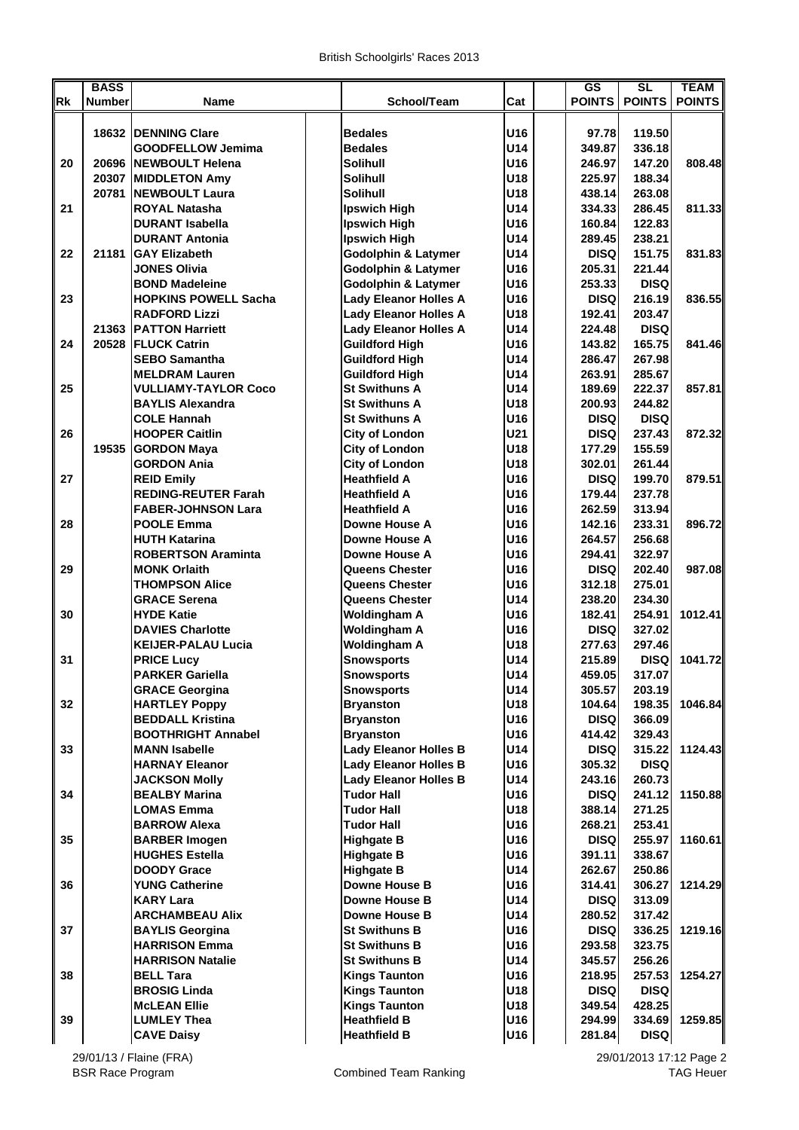|           | <b>BASS</b>   |                                               |                                                                  |            | $\overline{\text{GS}}$ | SL               | <b>TEAM</b>   |
|-----------|---------------|-----------------------------------------------|------------------------------------------------------------------|------------|------------------------|------------------|---------------|
| <b>Rk</b> | <b>Number</b> | <b>Name</b>                                   | School/Team                                                      | Cat        | <b>POINTS</b>          | <b>POINTS</b>    | <b>POINTS</b> |
|           |               |                                               |                                                                  |            |                        |                  |               |
|           | 18632         | <b>IDENNING Clare</b>                         | <b>Bedales</b>                                                   | U16        | 97.78                  | 119.50           |               |
|           |               | <b>GOODFELLOW Jemima</b>                      | <b>Bedales</b>                                                   | U14        | 349.87                 | 336.18           |               |
| 20        |               | 20696 NEWBOULT Helena                         | <b>Solihull</b>                                                  | U16        | 246.97                 | 147.20           | 808.48        |
|           |               | 20307 MIDDLETON Amy                           | <b>Solihull</b>                                                  | U18        | 225.97                 | 188.34           |               |
|           | 20781         | <b>NEWBOULT Laura</b>                         | <b>Solihull</b>                                                  | U18        | 438.14                 | 263.08           |               |
| 21        |               | <b>ROYAL Natasha</b>                          | Ipswich High                                                     | U14        | 334.33                 | 286.45           | 811.33        |
|           |               | <b>DURANT Isabella</b>                        | <b>Ipswich High</b>                                              | U16        | 160.84                 | 122.83           |               |
|           |               | <b>DURANT Antonia</b>                         | <b>Ipswich High</b>                                              | U14        | 289.45                 | 238.21           |               |
| 22        | 21181         | <b>IGAY Elizabeth</b><br><b>JONES Olivia</b>  | <b>Godolphin &amp; Latymer</b><br><b>Godolphin &amp; Latymer</b> | U14<br>U16 | <b>DISQ</b><br>205.31  | 151.75<br>221.44 | 831.83        |
|           |               | <b>BOND Madeleine</b>                         | <b>Godolphin &amp; Latymer</b>                                   | U16        | 253.33                 | <b>DISQ</b>      |               |
| 23        |               | <b>HOPKINS POWELL Sacha</b>                   | <b>Lady Eleanor Holles A</b>                                     | U16        | <b>DISQ</b>            | 216.19           | 836.55        |
|           |               | <b>RADFORD Lizzi</b>                          | <b>Lady Eleanor Holles A</b>                                     | U18        | 192.41                 | 203.47           |               |
|           | 21363         | <b>PATTON Harriett</b>                        | <b>Lady Eleanor Holles A</b>                                     | U14        | 224.48                 | <b>DISQ</b>      |               |
| 24        | 20528         | <b>IFLUCK Catrin</b>                          | <b>Guildford High</b>                                            | U16        | 143.82                 | 165.75           | 841.46        |
|           |               | <b>SEBO Samantha</b>                          | <b>Guildford High</b>                                            | U14        | 286.47                 | 267.98           |               |
|           |               | <b>MELDRAM Lauren</b>                         | <b>Guildford High</b>                                            | U14        | 263.91                 | 285.67           |               |
| 25        |               | <b>VULLIAMY-TAYLOR Coco</b>                   | <b>St Swithuns A</b>                                             | U14        | 189.69                 | 222.37           | 857.81        |
|           |               | <b>BAYLIS Alexandra</b>                       | <b>St Swithuns A</b>                                             | U18        | 200.93                 | 244.82           |               |
|           |               | <b>COLE Hannah</b>                            | <b>St Swithuns A</b>                                             | U16        | <b>DISQ</b>            | <b>DISQ</b>      |               |
| 26        |               | <b>HOOPER Caitlin</b>                         | <b>City of London</b>                                            | U21        | <b>DISQ</b>            | 237.43           | 872.32        |
|           | 19535         | <b>GORDON Maya</b>                            | <b>City of London</b>                                            | U18        | 177.29                 | 155.59           |               |
|           |               | <b>GORDON Ania</b>                            | <b>City of London</b>                                            | U18        | 302.01                 | 261.44           |               |
| 27        |               | <b>REID Emily</b>                             | <b>Heathfield A</b>                                              | U16        | <b>DISQ</b>            | 199.70           | 879.51        |
|           |               | <b>REDING-REUTER Farah</b>                    | <b>Heathfield A</b>                                              | U16        | 179.44                 | 237.78           |               |
|           |               | <b>FABER-JOHNSON Lara</b>                     | <b>Heathfield A</b>                                              | U16        | 262.59                 | 313.94           |               |
| 28        |               | <b>POOLE Emma</b>                             | Downe House A                                                    | U16        | 142.16                 | 233.31           | 896.72        |
|           |               | <b>HUTH Katarina</b>                          | Downe House A                                                    | U16        | 264.57                 | 256.68           |               |
|           |               | <b>ROBERTSON Araminta</b>                     | Downe House A                                                    | U16        | 294.41                 | 322.97           |               |
| 29        |               | <b>MONK Orlaith</b>                           | Queens Chester                                                   | U16        | <b>DISQ</b>            | 202.40           | 987.08        |
|           |               | <b>THOMPSON Alice</b>                         | Queens Chester                                                   | U16        | 312.18                 | 275.01           |               |
|           |               | <b>GRACE Serena</b>                           | Queens Chester                                                   | U14        | 238.20                 | 234.30           |               |
| 30        |               | <b>HYDE Katie</b>                             | <b>Woldingham A</b>                                              | U16        | 182.41                 | 254.91           | 1012.41       |
|           |               | <b>DAVIES Charlotte</b>                       | <b>Woldingham A</b>                                              | U16        | <b>DISQ</b>            | 327.02           |               |
|           |               | <b>KEIJER-PALAU Lucia</b>                     | <b>Woldingham A</b>                                              | U18        | 277.63                 | 297.46           |               |
| 31        |               | <b>PRICE Lucy</b>                             | <b>Snowsports</b>                                                | U14        | 215.89                 | <b>DISQ</b>      | 1041.72       |
|           |               | <b>PARKER Gariella</b>                        | <b>Snowsports</b>                                                | U14        | 459.05                 | 317.07           |               |
|           |               | <b>GRACE Georgina</b>                         | <b>Snowsports</b>                                                | U14        | 305.57                 | 203.19           |               |
| 32        |               | <b>HARTLEY Poppy</b>                          | <b>Bryanston</b>                                                 | U18        | 104.64                 | 198.35           | 1046.84       |
|           |               | <b>BEDDALL Kristina</b>                       | <b>Bryanston</b>                                                 | U16        | <b>DISQ</b>            | 366.09           |               |
|           |               | <b>BOOTHRIGHT Annabel</b>                     | <b>Bryanston</b>                                                 | U16        | 414.42                 | 329.43           |               |
| 33        |               | <b>MANN Isabelle</b>                          | <b>Lady Eleanor Holles B</b>                                     | U14        | <b>DISQ</b>            | 315.22           | 1124.43       |
|           |               | <b>HARNAY Eleanor</b><br><b>JACKSON Molly</b> | <b>Lady Eleanor Holles B</b><br><b>Lady Eleanor Holles B</b>     | U16<br>U14 | 305.32<br>243.16       | <b>DISQ</b>      |               |
| 34        |               | <b>BEALBY Marina</b>                          | <b>Tudor Hall</b>                                                | U16        | <b>DISQ</b>            | 260.73<br>241.12 | 1150.88       |
|           |               | <b>LOMAS Emma</b>                             | <b>Tudor Hall</b>                                                | U18        | 388.14                 | 271.25           |               |
|           |               | <b>BARROW Alexa</b>                           | <b>Tudor Hall</b>                                                | U16        | 268.21                 | 253.41           |               |
| 35        |               | <b>BARBER Imogen</b>                          | <b>Highgate B</b>                                                | U16        | <b>DISQ</b>            | 255.97           | 1160.61       |
|           |               | <b>HUGHES Estella</b>                         | <b>Highgate B</b>                                                | U16        | 391.11                 | 338.67           |               |
|           |               | <b>DOODY Grace</b>                            | <b>Highgate B</b>                                                | U14        | 262.67                 | 250.86           |               |
| 36        |               | <b>YUNG Catherine</b>                         | Downe House B                                                    | U16        | 314.41                 | 306.27           | 1214.29       |
|           |               | <b>KARY Lara</b>                              | Downe House B                                                    | U14        | <b>DISQ</b>            | 313.09           |               |
|           |               | <b>ARCHAMBEAU Alix</b>                        | Downe House B                                                    | U14        | 280.52                 | 317.42           |               |
| 37        |               | <b>BAYLIS Georgina</b>                        | <b>St Swithuns B</b>                                             | U16        | <b>DISQ</b>            | 336.25           | 1219.16       |
|           |               | <b>HARRISON Emma</b>                          | <b>St Swithuns B</b>                                             | U16        | 293.58                 | 323.75           |               |
|           |               | <b>HARRISON Natalie</b>                       | <b>St Swithuns B</b>                                             | U14        | 345.57                 | 256.26           |               |
| 38        |               | <b>BELL Tara</b>                              | <b>Kings Taunton</b>                                             | U16        | 218.95                 | 257.53           | 1254.27       |
|           |               | <b>BROSIG Linda</b>                           | <b>Kings Taunton</b>                                             | U18        | <b>DISQ</b>            | <b>DISQ</b>      |               |
|           |               | <b>McLEAN Ellie</b>                           | <b>Kings Taunton</b>                                             | U18        | 349.54                 | 428.25           |               |
| 39        |               | <b>LUMLEY Thea</b>                            | <b>Heathfield B</b>                                              | U16        | 294.99                 | 334.69           | 1259.85       |
|           |               | <b>CAVE Daisy</b>                             | <b>Heathfield B</b>                                              | U16        | 281.84                 | <b>DISQ</b>      |               |

29/01/13 / Flaine (FRA)